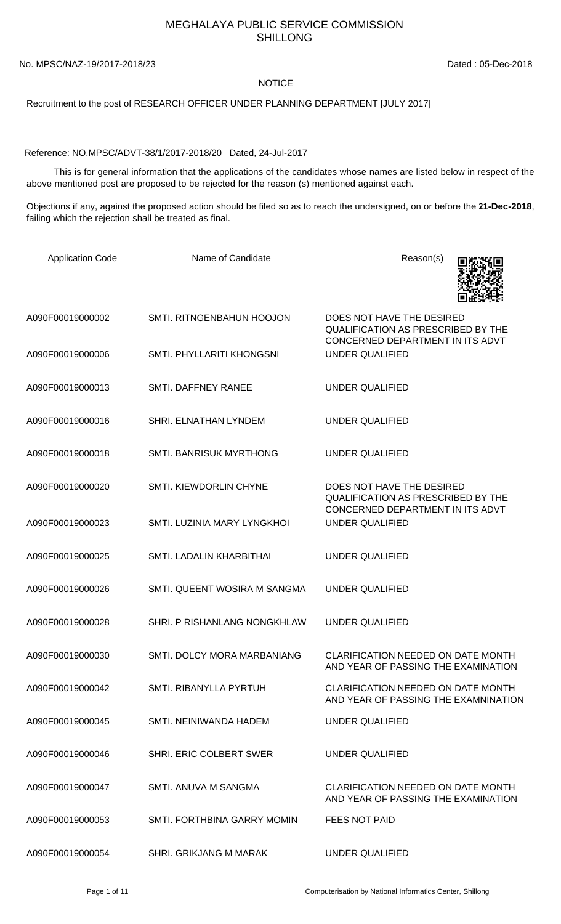## MEGHALAYA PUBLIC SERVICE COMMISSION SHILLONG

No. MPSC/NAZ-19/2017-2018/23 Dated : 05-Dec-2018

## **NOTICE**

Recruitment to the post of RESEARCH OFFICER UNDER PLANNING DEPARTMENT [JULY 2017]

Reference: NO.MPSC/ADVT-38/1/2017-2018/20 Dated, 24-Jul-2017

 This is for general information that the applications of the candidates whose names are listed below in respect of the above mentioned post are proposed to be rejected for the reason (s) mentioned against each.

Objections if any, against the proposed action should be filed so as to reach the undersigned, on or before the **21-Dec-2018**, failing which the rejection shall be treated as final.

| <b>Application Code</b> | Name of Candidate                | Reason(s)                                                                                                  |
|-------------------------|----------------------------------|------------------------------------------------------------------------------------------------------------|
| A090F00019000002        | SMTI. RITNGENBAHUN HOOJON        | DOES NOT HAVE THE DESIRED<br>QUALIFICATION AS PRESCRIBED BY THE<br>CONCERNED DEPARTMENT IN ITS ADVT        |
| A090F00019000006        | <b>SMTI. PHYLLARITI KHONGSNI</b> | <b>UNDER QUALIFIED</b>                                                                                     |
| A090F00019000013        | SMTI. DAFFNEY RANEE              | <b>UNDER QUALIFIED</b>                                                                                     |
| A090F00019000016        | SHRI. ELNATHAN LYNDEM            | <b>UNDER QUALIFIED</b>                                                                                     |
| A090F00019000018        | <b>SMTI. BANRISUK MYRTHONG</b>   | <b>UNDER QUALIFIED</b>                                                                                     |
| A090F00019000020        | <b>SMTI. KIEWDORLIN CHYNE</b>    | DOES NOT HAVE THE DESIRED<br><b>QUALIFICATION AS PRESCRIBED BY THE</b><br>CONCERNED DEPARTMENT IN ITS ADVT |
| A090F00019000023        | SMTI. LUZINIA MARY LYNGKHOI      | <b>UNDER QUALIFIED</b>                                                                                     |
| A090F00019000025        | SMTI. LADALIN KHARBITHAI         | <b>UNDER QUALIFIED</b>                                                                                     |
| A090F00019000026        | SMTI. QUEENT WOSIRA M SANGMA     | <b>UNDER QUALIFIED</b>                                                                                     |
| A090F00019000028        | SHRI. P RISHANLANG NONGKHLAW     | <b>UNDER QUALIFIED</b>                                                                                     |
| A090F00019000030        | SMTI. DOLCY MORA MARBANIANG      | <b>CLARIFICATION NEEDED ON DATE MONTH</b><br>AND YEAR OF PASSING THE EXAMINATION                           |
| A090F00019000042        | SMTI. RIBANYLLA PYRTUH           | <b>CLARIFICATION NEEDED ON DATE MONTH</b><br>AND YEAR OF PASSING THE EXAMNINATION                          |
| A090F00019000045        | SMTI. NEINIWANDA HADEM           | UNDER QUALIFIED                                                                                            |
| A090F00019000046        | SHRI. ERIC COLBERT SWER          | <b>UNDER QUALIFIED</b>                                                                                     |
| A090F00019000047        | SMTI. ANUVA M SANGMA             | CLARIFICATION NEEDED ON DATE MONTH<br>AND YEAR OF PASSING THE EXAMINATION                                  |
| A090F00019000053        | SMTI. FORTHBINA GARRY MOMIN      | <b>FEES NOT PAID</b>                                                                                       |
| A090F00019000054        | <b>SHRI. GRIKJANG M MARAK</b>    | <b>UNDER QUALIFIED</b>                                                                                     |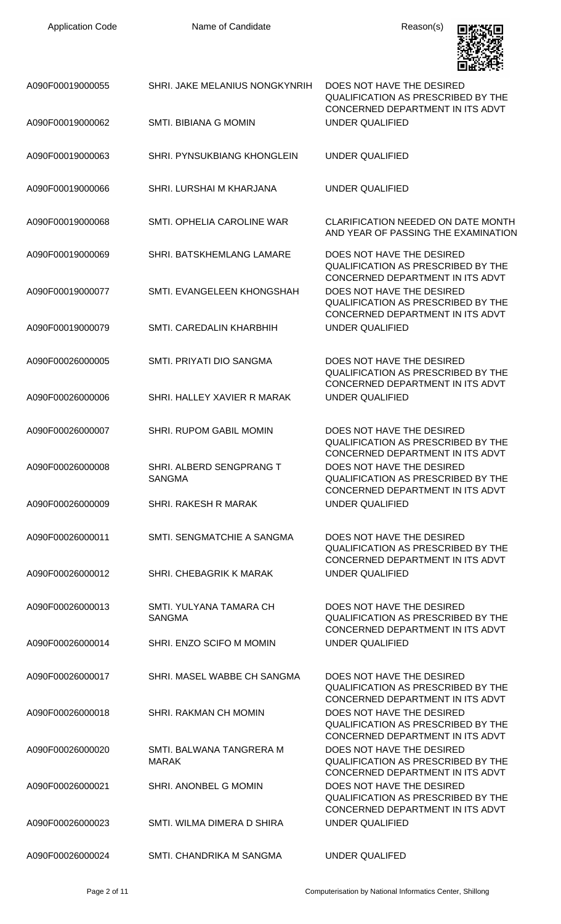

| A090F00019000055 | SHRI. JAKE MELANIUS NONGKYNRIH            | DOES NOT HAVE THE DESIRED<br>QUALIFICATION AS PRESCRIBED BY THE                                                                                |
|------------------|-------------------------------------------|------------------------------------------------------------------------------------------------------------------------------------------------|
| A090F00019000062 | SMTI. BIBIANA G MOMIN                     | CONCERNED DEPARTMENT IN ITS ADVT<br><b>UNDER QUALIFIED</b>                                                                                     |
| A090F00019000063 | <b>SHRI. PYNSUKBIANG KHONGLEIN</b>        | <b>UNDER QUALIFIED</b>                                                                                                                         |
| A090F00019000066 | SHRI. LURSHAI M KHARJANA                  | <b>UNDER QUALIFIED</b>                                                                                                                         |
| A090F00019000068 | SMTI. OPHELIA CAROLINE WAR                | <b>CLARIFICATION NEEDED ON DATE MONTH</b><br>AND YEAR OF PASSING THE EXAMINATION                                                               |
| A090F00019000069 | <b>SHRI. BATSKHEMLANG LAMARE</b>          | DOES NOT HAVE THE DESIRED<br><b>QUALIFICATION AS PRESCRIBED BY THE</b>                                                                         |
| A090F00019000077 | SMTI. EVANGELEEN KHONGSHAH                | CONCERNED DEPARTMENT IN ITS ADVT<br>DOES NOT HAVE THE DESIRED<br><b>QUALIFICATION AS PRESCRIBED BY THE</b><br>CONCERNED DEPARTMENT IN ITS ADVT |
| A090F00019000079 | SMTI, CAREDALIN KHARBHIH                  | <b>UNDER QUALIFIED</b>                                                                                                                         |
| A090F00026000005 | SMTI. PRIYATI DIO SANGMA                  | DOES NOT HAVE THE DESIRED<br>QUALIFICATION AS PRESCRIBED BY THE<br>CONCERNED DEPARTMENT IN ITS ADVT                                            |
| A090F00026000006 | SHRI. HALLEY XAVIER R MARAK               | UNDER QUALIFIED                                                                                                                                |
| A090F00026000007 | <b>SHRI. RUPOM GABIL MOMIN</b>            | DOES NOT HAVE THE DESIRED<br><b>QUALIFICATION AS PRESCRIBED BY THE</b><br>CONCERNED DEPARTMENT IN ITS ADVT                                     |
| A090F00026000008 | SHRI. ALBERD SENGPRANG T<br><b>SANGMA</b> | DOES NOT HAVE THE DESIRED<br><b>QUALIFICATION AS PRESCRIBED BY THE</b><br>CONCERNED DEPARTMENT IN ITS ADVT                                     |
| A090F00026000009 | SHRI. RAKESH R MARAK                      | UNDER QUALIFIED                                                                                                                                |
| A090F00026000011 | SMTI. SENGMATCHIE A SANGMA                | DOES NOT HAVE THE DESIRED<br>QUALIFICATION AS PRESCRIBED BY THE<br>CONCERNED DEPARTMENT IN ITS ADVT                                            |
| A090F00026000012 | SHRI, CHEBAGRIK K MARAK                   | UNDER QUALIFIED                                                                                                                                |
| A090F00026000013 | SMTI. YULYANA TAMARA CH<br><b>SANGMA</b>  | DOES NOT HAVE THE DESIRED<br><b>QUALIFICATION AS PRESCRIBED BY THE</b><br>CONCERNED DEPARTMENT IN ITS ADVT                                     |
| A090F00026000014 | SHRI. ENZO SCIFO M MOMIN                  | <b>UNDER QUALIFIED</b>                                                                                                                         |
| A090F00026000017 | SHRI. MASEL WABBE CH SANGMA               | DOES NOT HAVE THE DESIRED<br><b>QUALIFICATION AS PRESCRIBED BY THE</b><br>CONCERNED DEPARTMENT IN ITS ADVT                                     |
| A090F00026000018 | <b>SHRI. RAKMAN CH MOMIN</b>              | DOES NOT HAVE THE DESIRED<br>QUALIFICATION AS PRESCRIBED BY THE<br>CONCERNED DEPARTMENT IN ITS ADVT                                            |
| A090F00026000020 | SMTI. BALWANA TANGRERA M<br><b>MARAK</b>  | DOES NOT HAVE THE DESIRED<br><b>QUALIFICATION AS PRESCRIBED BY THE</b><br>CONCERNED DEPARTMENT IN ITS ADVT                                     |
| A090F00026000021 | SHRI, ANONBEL G MOMIN                     | DOES NOT HAVE THE DESIRED<br><b>QUALIFICATION AS PRESCRIBED BY THE</b><br>CONCERNED DEPARTMENT IN ITS ADVT                                     |
| A090F00026000023 | SMTI. WILMA DIMERA D SHIRA                | <b>UNDER QUALIFIED</b>                                                                                                                         |
| A090F00026000024 | SMTI. CHANDRIKA M SANGMA                  | <b>UNDER QUALIFED</b>                                                                                                                          |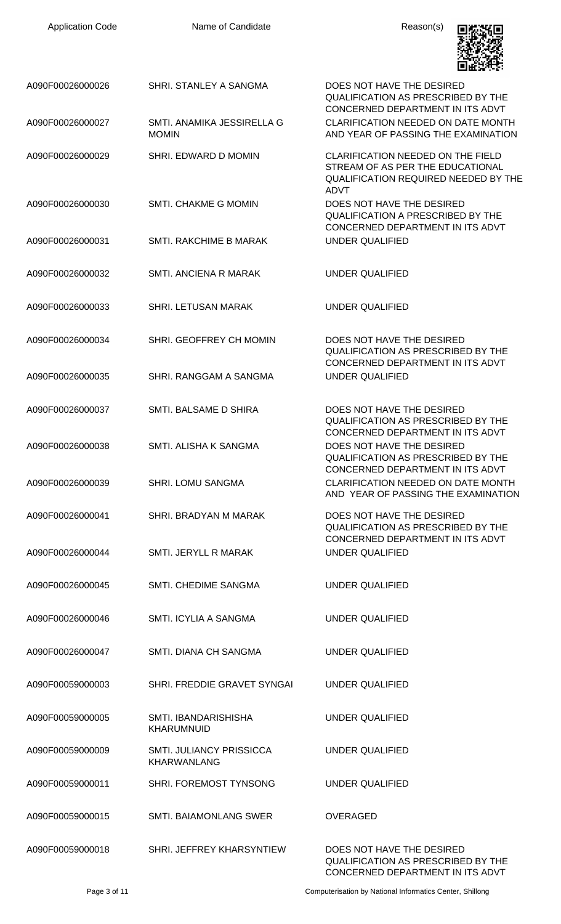| <b>Application Code</b> | Name of Candidate                                     | Reason(s)                                                                                                                                  |
|-------------------------|-------------------------------------------------------|--------------------------------------------------------------------------------------------------------------------------------------------|
| A090F00026000026        | SHRI. STANLEY A SANGMA                                | DOES NOT HAVE THE DESIRED<br><b>QUALIFICATION AS PRESCRIBED BY THE</b><br>CONCERNED DEPARTMENT IN ITS ADVT                                 |
| A090F00026000027        | SMTL ANAMIKA JESSIRELLA G<br><b>MOMIN</b>             | CLARIFICATION NEEDED ON DATE MONTH<br>AND YEAR OF PASSING THE EXAMINATION                                                                  |
| A090F00026000029        | SHRI. EDWARD D MOMIN                                  | <b>CLARIFICATION NEEDED ON THE FIELD</b><br>STREAM OF AS PER THE EDUCATIONAL<br><b>QUALIFICATION REQUIRED NEEDED BY THE</b><br><b>ADVT</b> |
| A090F00026000030        | SMTI. CHAKME G MOMIN                                  | DOES NOT HAVE THE DESIRED<br><b>QUALIFICATION A PRESCRIBED BY THE</b><br>CONCERNED DEPARTMENT IN ITS ADVT                                  |
| A090F00026000031        | <b>SMTI. RAKCHIME B MARAK</b>                         | UNDER QUALIFIED                                                                                                                            |
| A090F00026000032        | <b>SMTI. ANCIENA R MARAK</b>                          | <b>UNDER QUALIFIED</b>                                                                                                                     |
| A090F00026000033        | <b>SHRI. LETUSAN MARAK</b>                            | <b>UNDER QUALIFIED</b>                                                                                                                     |
| A090F00026000034        | SHRI. GEOFFREY CH MOMIN                               | DOES NOT HAVE THE DESIRED<br><b>QUALIFICATION AS PRESCRIBED BY THE</b><br>CONCERNED DEPARTMENT IN ITS ADVT                                 |
| A090F00026000035        | SHRI. RANGGAM A SANGMA                                | <b>UNDER QUALIFIED</b>                                                                                                                     |
| A090F00026000037        | SMTI. BALSAME D SHIRA                                 | DOES NOT HAVE THE DESIRED<br><b>QUALIFICATION AS PRESCRIBED BY THE</b><br>CONCERNED DEPARTMENT IN ITS ADVT                                 |
| A090F00026000038        | SMTI. ALISHA K SANGMA                                 | DOES NOT HAVE THE DESIRED<br><b>QUALIFICATION AS PRESCRIBED BY THE</b><br>CONCERNED DEPARTMENT IN ITS ADVT                                 |
| A090F00026000039        | <b>SHRI. LOMU SANGMA</b>                              | CLARIFICATION NEEDED ON DATE MONTH<br>AND YEAR OF PASSING THE EXAMINATION                                                                  |
| A090F00026000041        | SHRI. BRADYAN M MARAK                                 | DOES NOT HAVE THE DESIRED<br><b>QUALIFICATION AS PRESCRIBED BY THE</b><br>CONCERNED DEPARTMENT IN ITS ADVT                                 |
| A090F00026000044        | SMTI. JERYLL R MARAK                                  | <b>UNDER QUALIFIED</b>                                                                                                                     |
| A090F00026000045        | SMTI. CHEDIME SANGMA                                  | UNDER QUALIFIED                                                                                                                            |
| A090F00026000046        | SMTI. ICYLIA A SANGMA                                 | UNDER QUALIFIED                                                                                                                            |
| A090F00026000047        | SMTI. DIANA CH SANGMA                                 | UNDER QUALIFIED                                                                                                                            |
| A090F00059000003        | SHRI. FREDDIE GRAVET SYNGAI                           | UNDER QUALIFIED                                                                                                                            |
| A090F00059000005        | SMTI, IBANDARISHISHA<br><b>KHARUMNUID</b>             | UNDER QUALIFIED                                                                                                                            |
| A090F00059000009        | <b>SMTI. JULIANCY PRISSICCA</b><br><b>KHARWANLANG</b> | UNDER QUALIFIED                                                                                                                            |
| A090F00059000011        | SHRI. FOREMOST TYNSONG                                | <b>UNDER QUALIFIED</b>                                                                                                                     |
| A090F00059000015        | <b>SMTI. BAIAMONLANG SWER</b>                         | <b>OVERAGED</b>                                                                                                                            |
| A090F00059000018        | SHRI. JEFFREY KHARSYNTIEW                             | DOES NOT HAVE THE DESIRED<br>QUALIFICATION AS PRESCRIBED BY THE                                                                            |

Page 3 of 11 Computerisation by National Informatics Center, Shillong

CONCERNED DEPARTMENT IN ITS ADVT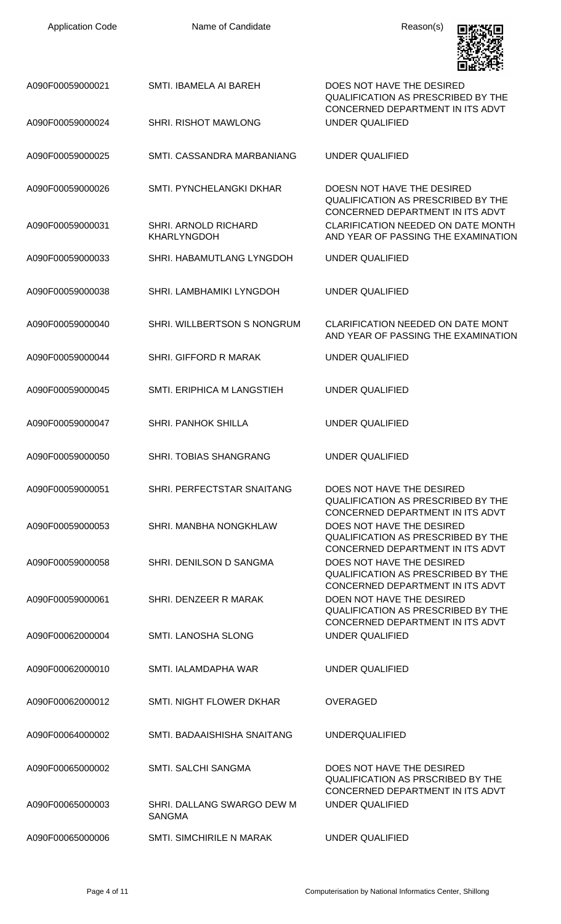| <b>Application Code</b> | Name of Candidate                           | Reason(s)                                                                                                   |
|-------------------------|---------------------------------------------|-------------------------------------------------------------------------------------------------------------|
| A090F00059000021        | <b>SMTI. IBAMELA AI BAREH</b>               | DOES NOT HAVE THE DESIRED<br><b>QUALIFICATION AS PRESCRIBED BY THE</b>                                      |
| A090F00059000024        | SHRI. RISHOT MAWLONG                        | CONCERNED DEPARTMENT IN ITS ADVT<br><b>UNDER QUALIFIED</b>                                                  |
| A090F00059000025        | SMTI. CASSANDRA MARBANIANG                  | <b>UNDER QUALIFIED</b>                                                                                      |
| A090F00059000026        | SMTI. PYNCHELANGKI DKHAR                    | DOESN NOT HAVE THE DESIRED<br><b>QUALIFICATION AS PRESCRIBED BY THE</b><br>CONCERNED DEPARTMENT IN ITS ADVT |
| A090F00059000031        | SHRI. ARNOLD RICHARD<br><b>KHARLYNGDOH</b>  | <b>CLARIFICATION NEEDED ON DATE MONTH</b><br>AND YEAR OF PASSING THE EXAMINATION                            |
| A090F00059000033        | SHRI. HABAMUTLANG LYNGDOH                   | <b>UNDER QUALIFIED</b>                                                                                      |
| A090F00059000038        | SHRI. LAMBHAMIKI LYNGDOH                    | UNDER QUALIFIED                                                                                             |
| A090F00059000040        | SHRI. WILLBERTSON S NONGRUM                 | <b>CLARIFICATION NEEDED ON DATE MONT</b><br>AND YEAR OF PASSING THE EXAMINATION                             |
| A090F00059000044        | SHRI. GIFFORD R MARAK                       | <b>UNDER QUALIFIED</b>                                                                                      |
| A090F00059000045        | SMTI. ERIPHICA M LANGSTIEH                  | UNDER QUALIFIED                                                                                             |
| A090F00059000047        | <b>SHRI. PANHOK SHILLA</b>                  | <b>UNDER QUALIFIED</b>                                                                                      |
| A090F00059000050        | <b>SHRI. TOBIAS SHANGRANG</b>               | <b>UNDER QUALIFIED</b>                                                                                      |
| A090F00059000051        | SHRI. PERFECTSTAR SNAITANG                  | DOES NOT HAVE THE DESIRED<br><b>QUALIFICATION AS PRESCRIBED BY THE</b><br>CONCERNED DEPARTMENT IN ITS ADVT  |
| A090F00059000053        | SHRI. MANBHA NONGKHLAW                      | DOES NOT HAVE THE DESIRED<br><b>QUALIFICATION AS PRESCRIBED BY THE</b><br>CONCERNED DEPARTMENT IN ITS ADVT  |
| A090F00059000058        | SHRI. DENILSON D SANGMA                     | DOES NOT HAVE THE DESIRED<br><b>QUALIFICATION AS PRESCRIBED BY THE</b><br>CONCERNED DEPARTMENT IN ITS ADVT  |
| A090F00059000061        | SHRI. DENZEER R MARAK                       | DOEN NOT HAVE THE DESIRED<br><b>QUALIFICATION AS PRESCRIBED BY THE</b><br>CONCERNED DEPARTMENT IN ITS ADVT  |
| A090F00062000004        | SMTI. LANOSHA SLONG                         | UNDER QUALIFIED                                                                                             |
| A090F00062000010        | SMTI. IALAMDAPHA WAR                        | UNDER QUALIFIED                                                                                             |
| A090F00062000012        | SMTI. NIGHT FLOWER DKHAR                    | <b>OVERAGED</b>                                                                                             |
| A090F00064000002        | SMTI, BADAAISHISHA SNAITANG                 | <b>UNDERQUALIFIED</b>                                                                                       |
| A090F00065000002        | SMTI. SALCHI SANGMA                         | DOES NOT HAVE THE DESIRED<br>QUALIFICATION AS PRSCRIBED BY THE<br>CONCERNED DEPARTMENT IN ITS ADVT          |
| A090F00065000003        | SHRI. DALLANG SWARGO DEW M<br><b>SANGMA</b> | <b>UNDER QUALIFIED</b>                                                                                      |
| A090F00065000006        | <b>SMTL SIMCHIRILE N MARAK</b>              | UNDER QUALIFIED                                                                                             |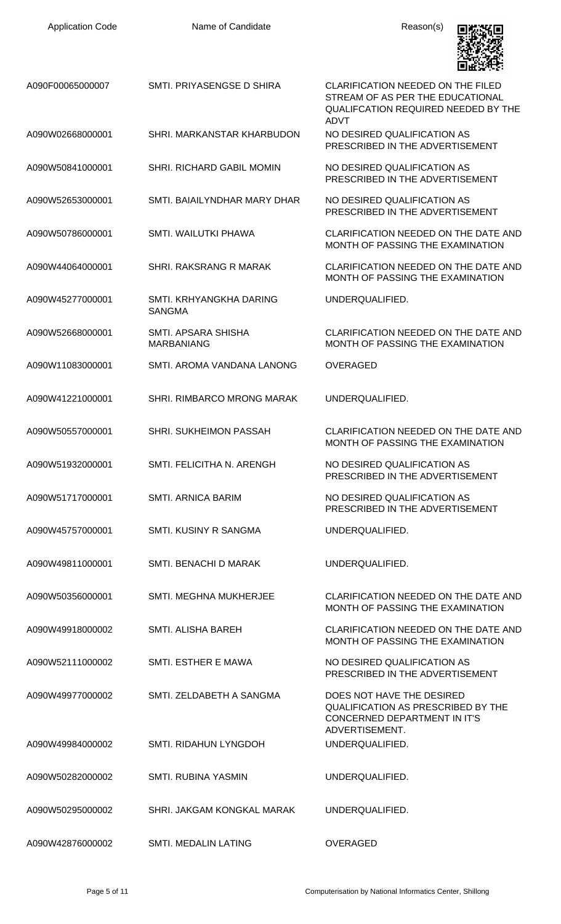| <b>Application Code</b> | Name of Candidate                        | Reason(s)                                                                                                                   |
|-------------------------|------------------------------------------|-----------------------------------------------------------------------------------------------------------------------------|
| A090F00065000007        | SMTI, PRIYASENGSE D SHIRA                | CLARIFICATION NEEDED ON THE FILED<br>STREAM OF AS PER THE EDUCATIONAL<br>QUALIFCATION REQUIRED NEEDED BY THE<br><b>ADVT</b> |
| A090W02668000001        | SHRI. MARKANSTAR KHARBUDON               | NO DESIRED QUALIFICATION AS<br>PRESCRIBED IN THE ADVERTISEMENT                                                              |
| A090W50841000001        | SHRI. RICHARD GABIL MOMIN                | NO DESIRED QUALIFICATION AS<br>PRESCRIBED IN THE ADVERTISEMENT                                                              |
| A090W52653000001        | SMTI. BAIAILYNDHAR MARY DHAR             | NO DESIRED QUALIFICATION AS<br>PRESCRIBED IN THE ADVERTISEMENT                                                              |
| A090W50786000001        | SMTI. WAILUTKI PHAWA                     | CLARIFICATION NEEDED ON THE DATE AND<br>MONTH OF PASSING THE EXAMINATION                                                    |
| A090W44064000001        | SHRI. RAKSRANG R MARAK                   | CLARIFICATION NEEDED ON THE DATE AND<br>MONTH OF PASSING THE EXAMINATION                                                    |
| A090W45277000001        | SMTI. KRHYANGKHA DARING<br><b>SANGMA</b> | UNDERQUALIFIED.                                                                                                             |
| A090W52668000001        | SMTI. APSARA SHISHA<br><b>MARBANIANG</b> | CLARIFICATION NEEDED ON THE DATE AND<br>MONTH OF PASSING THE EXAMINATION                                                    |
| A090W11083000001        | SMTI. AROMA VANDANA LANONG               | <b>OVERAGED</b>                                                                                                             |
| A090W41221000001        | <b>SHRI. RIMBARCO MRONG MARAK</b>        | UNDERQUALIFIED.                                                                                                             |
| A090W50557000001        | SHRI. SUKHEIMON PASSAH                   | CLARIFICATION NEEDED ON THE DATE AND<br>MONTH OF PASSING THE EXAMINATION                                                    |
| A090W51932000001        | SMTI. FELICITHA N. ARENGH                | NO DESIRED QUALIFICATION AS<br>PRESCRIBED IN THE ADVERTISEMENT                                                              |
| A090W51717000001        | <b>SMTI. ARNICA BARIM</b>                | NO DESIRED QUALIFICATION AS<br>PRESCRIBED IN THE ADVERTISEMENT                                                              |
| A090W45757000001        | SMTI. KUSINY R SANGMA                    | UNDERQUALIFIED.                                                                                                             |
| A090W49811000001        | SMTI. BENACHI D MARAK                    | UNDERQUALIFIED.                                                                                                             |
| A090W50356000001        | <b>SMTI. MEGHNA MUKHERJEE</b>            | CLARIFICATION NEEDED ON THE DATE AND<br>MONTH OF PASSING THE EXAMINATION                                                    |
| A090W49918000002        | SMTI. ALISHA BAREH                       | CLARIFICATION NEEDED ON THE DATE AND<br>MONTH OF PASSING THE EXAMINATION                                                    |
| A090W52111000002        | SMTI. ESTHER E MAWA                      | NO DESIRED QUALIFICATION AS<br>PRESCRIBED IN THE ADVERTISEMENT                                                              |
| A090W49977000002        | SMTI. ZELDABETH A SANGMA                 | DOES NOT HAVE THE DESIRED<br>QUALIFICATION AS PRESCRIBED BY THE<br>CONCERNED DEPARTMENT IN IT'S<br>ADVERTISEMENT.           |
| A090W49984000002        | SMTI. RIDAHUN LYNGDOH                    | UNDERQUALIFIED.                                                                                                             |
| A090W50282000002        | <b>SMTI. RUBINA YASMIN</b>               | UNDERQUALIFIED.                                                                                                             |
| A090W50295000002        | SHRI. JAKGAM KONGKAL MARAK               | UNDERQUALIFIED.                                                                                                             |
| A090W42876000002        | SMTI. MEDALIN LATING                     | <b>OVERAGED</b>                                                                                                             |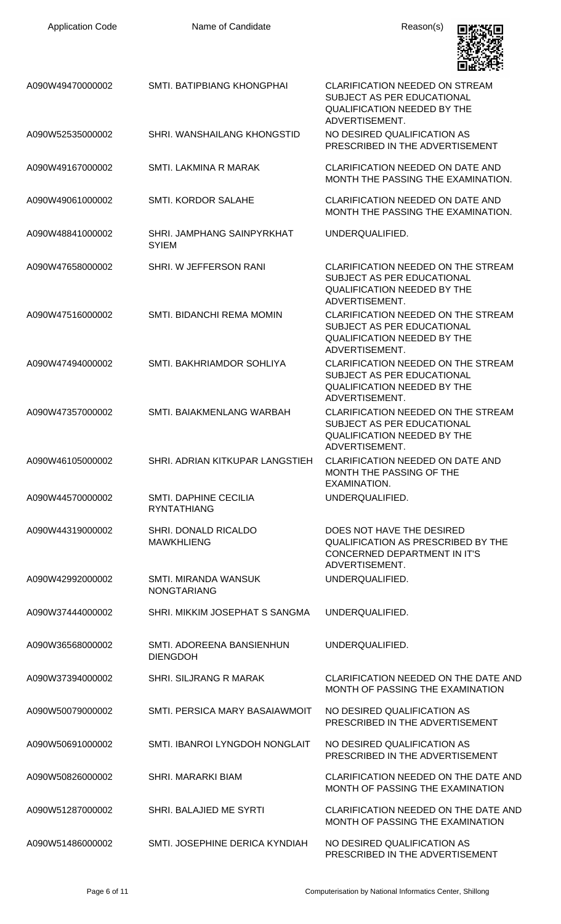| <b>Application Code</b> | Name of Candidate                            | Reason(s)                                                                                                                       |
|-------------------------|----------------------------------------------|---------------------------------------------------------------------------------------------------------------------------------|
| A090W49470000002        | SMTI. BATIPBIANG KHONGPHAI                   | <b>CLARIFICATION NEEDED ON STREAM</b><br>SUBJECT AS PER EDUCATIONAL<br><b>QUALIFICATION NEEDED BY THE</b><br>ADVERTISEMENT.     |
| A090W52535000002        | SHRI. WANSHAILANG KHONGSTID                  | NO DESIRED QUALIFICATION AS<br>PRESCRIBED IN THE ADVERTISEMENT                                                                  |
| A090W49167000002        | SMTI. LAKMINA R MARAK                        | <b>CLARIFICATION NEEDED ON DATE AND</b><br>MONTH THE PASSING THE EXAMINATION.                                                   |
| A090W49061000002        | <b>SMTI. KORDOR SALAHE</b>                   | <b>CLARIFICATION NEEDED ON DATE AND</b><br>MONTH THE PASSING THE EXAMINATION.                                                   |
| A090W48841000002        | SHRI. JAMPHANG SAINPYRKHAT<br><b>SYIEM</b>   | UNDERQUALIFIED.                                                                                                                 |
| A090W47658000002        | SHRI. W JEFFERSON RANI                       | <b>CLARIFICATION NEEDED ON THE STREAM</b><br>SUBJECT AS PER EDUCATIONAL<br><b>QUALIFICATION NEEDED BY THE</b><br>ADVERTISEMENT. |
| A090W47516000002        | SMTI. BIDANCHI REMA MOMIN                    | CLARIFICATION NEEDED ON THE STREAM<br>SUBJECT AS PER EDUCATIONAL<br><b>QUALIFICATION NEEDED BY THE</b><br>ADVERTISEMENT.        |
| A090W47494000002        | SMTI. BAKHRIAMDOR SOHLIYA                    | CLARIFICATION NEEDED ON THE STREAM<br>SUBJECT AS PER EDUCATIONAL<br><b>QUALIFICATION NEEDED BY THE</b><br>ADVERTISEMENT.        |
| A090W47357000002        | SMTI. BAIAKMENLANG WARBAH                    | CLARIFICATION NEEDED ON THE STREAM<br><b>SUBJECT AS PER EDUCATIONAL</b><br><b>QUALIFICATION NEEDED BY THE</b><br>ADVERTISEMENT. |
| A090W46105000002        | SHRI. ADRIAN KITKUPAR LANGSTIEH              | CLARIFICATION NEEDED ON DATE AND<br>MONTH THE PASSING OF THE<br>EXAMINATION.                                                    |
| A090W44570000002        | SMTI. DAPHINE CECILIA<br><b>RYNTATHIANG</b>  | UNDERQUALIFIED.                                                                                                                 |
| A090W44319000002        | SHRI. DONALD RICALDO<br><b>MAWKHLIENG</b>    | DOES NOT HAVE THE DESIRED<br><b>QUALIFICATION AS PRESCRIBED BY THE</b><br>CONCERNED DEPARTMENT IN IT'S<br>ADVERTISEMENT.        |
| A090W42992000002        | SMTI. MIRANDA WANSUK<br><b>NONGTARIANG</b>   | UNDERQUALIFIED.                                                                                                                 |
| A090W37444000002        | SHRI. MIKKIM JOSEPHAT S SANGMA               | UNDERQUALIFIED.                                                                                                                 |
| A090W36568000002        | SMTI. ADOREENA BANSIENHUN<br><b>DIENGDOH</b> | UNDERQUALIFIED.                                                                                                                 |
| A090W37394000002        | SHRI. SILJRANG R MARAK                       | <b>CLARIFICATION NEEDED ON THE DATE AND</b><br>MONTH OF PASSING THE EXAMINATION                                                 |
| A090W50079000002        | SMTI. PERSICA MARY BASAIAWMOIT               | NO DESIRED QUALIFICATION AS<br>PRESCRIBED IN THE ADVERTISEMENT                                                                  |
| A090W50691000002        | SMTI. IBANROI LYNGDOH NONGLAIT               | NO DESIRED QUALIFICATION AS<br>PRESCRIBED IN THE ADVERTISEMENT                                                                  |
| A090W50826000002        | <b>SHRI. MARARKI BIAM</b>                    | CLARIFICATION NEEDED ON THE DATE AND<br>MONTH OF PASSING THE EXAMINATION                                                        |
| A090W51287000002        | SHRI. BALAJIED ME SYRTI                      | CLARIFICATION NEEDED ON THE DATE AND<br>MONTH OF PASSING THE EXAMINATION                                                        |
| A090W51486000002        | SMTI. JOSEPHINE DERICA KYNDIAH               | NO DESIRED QUALIFICATION AS<br>PRESCRIBED IN THE ADVERTISEMENT                                                                  |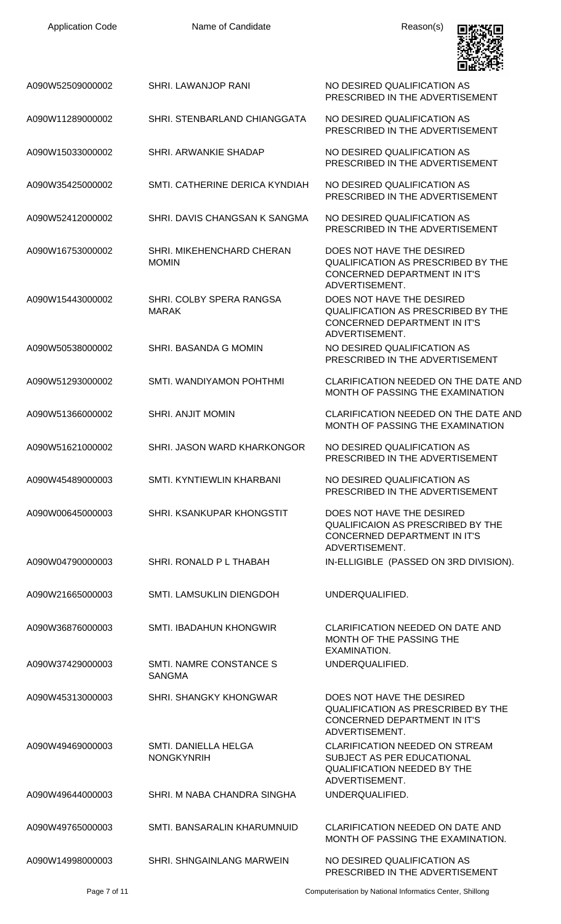| <b>Application Code</b> | Name of Candidate                         | Reason(s)                                                                                                                   |
|-------------------------|-------------------------------------------|-----------------------------------------------------------------------------------------------------------------------------|
| A090W52509000002        | SHRI. LAWANJOP RANI                       | NO DESIRED QUALIFICATION AS<br>PRESCRIBED IN THE ADVERTISEMENT                                                              |
| A090W11289000002        | SHRI. STENBARLAND CHIANGGATA              | NO DESIRED QUALIFICATION AS<br>PRESCRIBED IN THE ADVERTISEMENT                                                              |
| A090W15033000002        | SHRI. ARWANKIE SHADAP                     | NO DESIRED QUALIFICATION AS<br>PRESCRIBED IN THE ADVERTISEMENT                                                              |
| A090W35425000002        | SMTI. CATHERINE DERICA KYNDIAH            | NO DESIRED QUALIFICATION AS<br>PRESCRIBED IN THE ADVERTISEMENT                                                              |
| A090W52412000002        | SHRI. DAVIS CHANGSAN K SANGMA             | NO DESIRED QUALIFICATION AS<br>PRESCRIBED IN THE ADVERTISEMENT                                                              |
| A090W16753000002        | SHRI. MIKEHENCHARD CHERAN<br><b>MOMIN</b> | DOES NOT HAVE THE DESIRED<br>QUALIFICATION AS PRESCRIBED BY THE<br><b>CONCERNED DEPARTMENT IN IT'S</b><br>ADVERTISEMENT.    |
| A090W15443000002        | SHRI. COLBY SPERA RANGSA<br><b>MARAK</b>  | DOES NOT HAVE THE DESIRED<br>QUALIFICATION AS PRESCRIBED BY THE<br>CONCERNED DEPARTMENT IN IT'S<br>ADVERTISEMENT.           |
| A090W50538000002        | SHRI. BASANDA G MOMIN                     | NO DESIRED QUALIFICATION AS<br>PRESCRIBED IN THE ADVERTISEMENT                                                              |
| A090W51293000002        | SMTI. WANDIYAMON POHTHMI                  | <b>CLARIFICATION NEEDED ON THE DATE AND</b><br>MONTH OF PASSING THE EXAMINATION                                             |
| A090W51366000002        | <b>SHRI. ANJIT MOMIN</b>                  | CLARIFICATION NEEDED ON THE DATE AND<br>MONTH OF PASSING THE EXAMINATION                                                    |
| A090W51621000002        | SHRI. JASON WARD KHARKONGOR               | NO DESIRED QUALIFICATION AS<br>PRESCRIBED IN THE ADVERTISEMENT                                                              |
| A090W45489000003        | SMTL KYNTIEWLIN KHARBANI                  | NO DESIRED QUALIFICATION AS<br>PRESCRIBED IN THE ADVERTISEMENT                                                              |
| A090W00645000003        | SHRI, KSANKUPAR KHONGSTIT                 | DOES NOT HAVE THE DESIRED<br><b>QUALIFICAION AS PRESCRIBED BY THE</b><br>CONCERNED DEPARTMENT IN IT'S<br>ADVERTISEMENT.     |
| A090W04790000003        | SHRI. RONALD P L THABAH                   | IN-ELLIGIBLE (PASSED ON 3RD DIVISION).                                                                                      |
| A090W21665000003        | SMTI. LAMSUKLIN DIENGDOH                  | UNDERQUALIFIED.                                                                                                             |
| A090W36876000003        | <b>SMTI. IBADAHUN KHONGWIR</b>            | <b>CLARIFICATION NEEDED ON DATE AND</b><br>MONTH OF THE PASSING THE<br>EXAMINATION.                                         |
| A090W37429000003        | SMTI. NAMRE CONSTANCE S<br><b>SANGMA</b>  | UNDERQUALIFIED.                                                                                                             |
| A090W45313000003        | <b>SHRI. SHANGKY KHONGWAR</b>             | DOES NOT HAVE THE DESIRED<br>QUALIFICATION AS PRESCRIBED BY THE<br><b>CONCERNED DEPARTMENT IN IT'S</b><br>ADVERTISEMENT.    |
| A090W49469000003        | SMTI, DANIELLA HELGA<br><b>NONGKYNRIH</b> | <b>CLARIFICATION NEEDED ON STREAM</b><br>SUBJECT AS PER EDUCATIONAL<br><b>QUALIFICATION NEEDED BY THE</b><br>ADVERTISEMENT. |
| A090W49644000003        | SHRI. M NABA CHANDRA SINGHA               | UNDERQUALIFIED.                                                                                                             |
| A090W49765000003        | SMTI. BANSARALIN KHARUMNUID               | CLARIFICATION NEEDED ON DATE AND<br>MONTH OF PASSING THE EXAMINATION.                                                       |
| A090W14998000003        | SHRI, SHNGAINLANG MARWEIN                 | NO DESIRED QUALIFICATION AS<br>PRESCRIBED IN THE ADVERTISEMENT                                                              |

Page 7 of 11 **Page 7 of 11** Computerisation by National Informatics Center, Shillong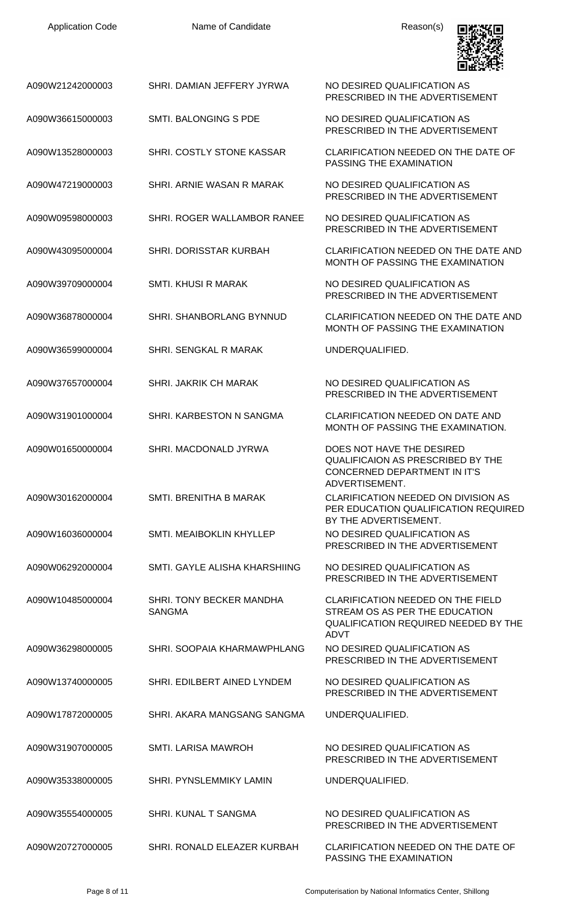| A090W21242000003 | SHRI. DAMIAN JEFFERY JYRWA                | NO DESIRED QUALIFICATION AS<br>PRESCRIBED IN THE ADVERTISEMENT                                                                    |
|------------------|-------------------------------------------|-----------------------------------------------------------------------------------------------------------------------------------|
| A090W36615000003 | SMTI. BALONGING S PDE                     | NO DESIRED QUALIFICATION AS<br>PRESCRIBED IN THE ADVERTISEMENT                                                                    |
| A090W13528000003 | SHRI. COSTLY STONE KASSAR                 | CLARIFICATION NEEDED ON THE DATE OF<br>PASSING THE EXAMINATION                                                                    |
| A090W47219000003 | SHRI. ARNIE WASAN R MARAK                 | NO DESIRED QUALIFICATION AS<br>PRESCRIBED IN THE ADVERTISEMENT                                                                    |
| A090W09598000003 | SHRI. ROGER WALLAMBOR RANEE               | NO DESIRED QUALIFICATION AS<br>PRESCRIBED IN THE ADVERTISEMENT                                                                    |
| A090W43095000004 | SHRI. DORISSTAR KURBAH                    | CLARIFICATION NEEDED ON THE DATE AND<br>MONTH OF PASSING THE EXAMINATION                                                          |
| A090W39709000004 | SMTI. KHUSI R MARAK                       | NO DESIRED QUALIFICATION AS<br>PRESCRIBED IN THE ADVERTISEMENT                                                                    |
| A090W36878000004 | SHRI. SHANBORLANG BYNNUD                  | CLARIFICATION NEEDED ON THE DATE AND<br>MONTH OF PASSING THE EXAMINATION                                                          |
| A090W36599000004 | SHRI. SENGKAL R MARAK                     | UNDERQUALIFIED.                                                                                                                   |
| A090W37657000004 | <b>SHRI. JAKRIK CH MARAK</b>              | NO DESIRED QUALIFICATION AS<br>PRESCRIBED IN THE ADVERTISEMENT                                                                    |
| A090W31901000004 | SHRI. KARBESTON N SANGMA                  | <b>CLARIFICATION NEEDED ON DATE AND</b><br>MONTH OF PASSING THE EXAMINATION.                                                      |
| A090W01650000004 | SHRI. MACDONALD JYRWA                     | DOES NOT HAVE THE DESIRED<br>QUALIFICAION AS PRESCRIBED BY THE<br>CONCERNED DEPARTMENT IN IT'S<br>ADVERTISEMENT.                  |
| A090W30162000004 | SMTI. BRENITHA B MARAK                    | CLARIFICATION NEEDED ON DIVISION AS<br>PER EDUCATION QUALIFICATION REQUIRED<br>BY THE ADVERTISEMENT.                              |
| A090W16036000004 | SMTI. MEAIBOKLIN KHYLLEP                  | NO DESIRED QUALIFICATION AS<br>PRESCRIBED IN THE ADVERTISEMENT                                                                    |
| A090W06292000004 | SMTI, GAYLE ALISHA KHARSHIING             | NO DESIRED QUALIFICATION AS<br>PRESCRIBED IN THE ADVERTISEMENT                                                                    |
| A090W10485000004 | SHRI. TONY BECKER MANDHA<br><b>SANGMA</b> | <b>CLARIFICATION NEEDED ON THE FIELD</b><br>STREAM OS AS PER THE EDUCATION<br>QUALIFICATION REQUIRED NEEDED BY THE<br><b>ADVT</b> |
| A090W36298000005 | SHRI. SOOPAIA KHARMAWPHLANG               | NO DESIRED QUALIFICATION AS<br>PRESCRIBED IN THE ADVERTISEMENT                                                                    |
| A090W13740000005 | SHRI. EDILBERT AINED LYNDEM               | NO DESIRED QUALIFICATION AS<br>PRESCRIBED IN THE ADVERTISEMENT                                                                    |
| A090W17872000005 | SHRI. AKARA MANGSANG SANGMA               | UNDERQUALIFIED.                                                                                                                   |
| A090W31907000005 | <b>SMTI. LARISA MAWROH</b>                | NO DESIRED QUALIFICATION AS<br>PRESCRIBED IN THE ADVERTISEMENT                                                                    |
| A090W35338000005 | SHRI. PYNSLEMMIKY LAMIN                   | UNDERQUALIFIED.                                                                                                                   |
| A090W35554000005 | SHRI. KUNAL T SANGMA                      | NO DESIRED QUALIFICATION AS<br>PRESCRIBED IN THE ADVERTISEMENT                                                                    |
| A090W20727000005 | SHRI. RONALD ELEAZER KURBAH               | CLARIFICATION NEEDED ON THE DATE OF<br>PASSING THE EXAMINATION                                                                    |

Application Code **Name of Candidate Name of Candidate** Reason(s)

回数张回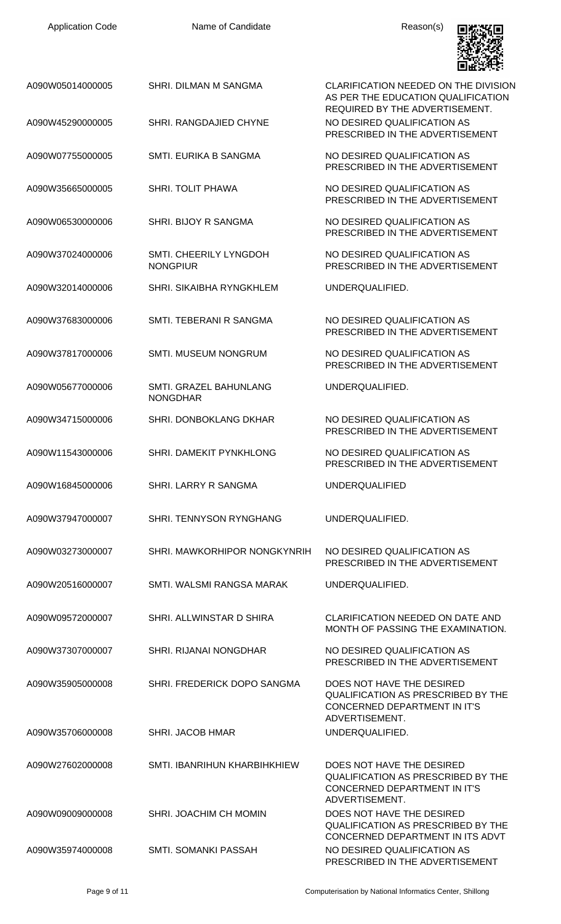| <b>Application Code</b> | Name of Candidate                         | Reason(s)                                                                                                                |
|-------------------------|-------------------------------------------|--------------------------------------------------------------------------------------------------------------------------|
| A090W05014000005        | SHRI. DILMAN M SANGMA                     | CLARIFICATION NEEDED ON THE DIVISION<br>AS PER THE EDUCATION QUALIFICATION<br>REQUIRED BY THE ADVERTISEMENT.             |
| A090W45290000005        | SHRI. RANGDAJIED CHYNE                    | NO DESIRED QUALIFICATION AS<br>PRESCRIBED IN THE ADVERTISEMENT                                                           |
| A090W07755000005        | SMTI. EURIKA B SANGMA                     | NO DESIRED QUALIFICATION AS<br>PRESCRIBED IN THE ADVERTISEMENT                                                           |
| A090W35665000005        | <b>SHRI. TOLIT PHAWA</b>                  | NO DESIRED QUALIFICATION AS<br>PRESCRIBED IN THE ADVERTISEMENT                                                           |
| A090W06530000006        | SHRI. BIJOY R SANGMA                      | NO DESIRED QUALIFICATION AS<br>PRESCRIBED IN THE ADVERTISEMENT                                                           |
| A090W37024000006        | SMTI. CHEERILY LYNGDOH<br><b>NONGPIUR</b> | NO DESIRED QUALIFICATION AS<br>PRESCRIBED IN THE ADVERTISEMENT                                                           |
| A090W32014000006        | SHRI. SIKAIBHA RYNGKHLEM                  | UNDERQUALIFIED.                                                                                                          |
| A090W37683000006        | SMTI. TEBERANI R SANGMA                   | NO DESIRED QUALIFICATION AS<br>PRESCRIBED IN THE ADVERTISEMENT                                                           |
| A090W37817000006        | SMTI. MUSEUM NONGRUM                      | NO DESIRED QUALIFICATION AS<br>PRESCRIBED IN THE ADVERTISEMENT                                                           |
| A090W05677000006        | SMTI. GRAZEL BAHUNLANG<br><b>NONGDHAR</b> | UNDERQUALIFIED.                                                                                                          |
| A090W34715000006        | <b>SHRI. DONBOKLANG DKHAR</b>             | NO DESIRED QUALIFICATION AS<br>PRESCRIBED IN THE ADVERTISEMENT                                                           |
| A090W11543000006        | SHRI. DAMEKIT PYNKHLONG                   | NO DESIRED QUALIFICATION AS<br>PRESCRIBED IN THE ADVERTISEMENT                                                           |
| A090W16845000006        | <b>SHRI. LARRY R SANGMA</b>               | <b>UNDERQUALIFIED</b>                                                                                                    |
| A090W37947000007        | <b>SHRI. TENNYSON RYNGHANG</b>            | UNDERQUALIFIED.                                                                                                          |
| A090W03273000007        | SHRI. MAWKORHIPOR NONGKYNRIH              | NO DESIRED QUALIFICATION AS<br>PRESCRIBED IN THE ADVERTISEMENT                                                           |
| A090W20516000007        | SMTI. WALSMI RANGSA MARAK                 | UNDERQUALIFIED.                                                                                                          |
| A090W09572000007        | SHRI. ALLWINSTAR D SHIRA                  | <b>CLARIFICATION NEEDED ON DATE AND</b><br>MONTH OF PASSING THE EXAMINATION.                                             |
| A090W37307000007        | SHRI. RIJANAI NONGDHAR                    | NO DESIRED QUALIFICATION AS<br>PRESCRIBED IN THE ADVERTISEMENT                                                           |
| A090W35905000008        | SHRI. FREDERICK DOPO SANGMA               | DOES NOT HAVE THE DESIRED<br><b>QUALIFICATION AS PRESCRIBED BY THE</b><br>CONCERNED DEPARTMENT IN IT'S                   |
| A090W35706000008        | <b>SHRI. JACOB HMAR</b>                   | ADVERTISEMENT.<br>UNDERQUALIFIED.                                                                                        |
| A090W27602000008        | SMTI. IBANRIHUN KHARBIHKHIEW              | DOES NOT HAVE THE DESIRED<br><b>QUALIFICATION AS PRESCRIBED BY THE</b><br>CONCERNED DEPARTMENT IN IT'S<br>ADVERTISEMENT. |
| A090W09009000008        | SHRI. JOACHIM CH MOMIN                    | DOES NOT HAVE THE DESIRED<br><b>QUALIFICATION AS PRESCRIBED BY THE</b><br>CONCERNED DEPARTMENT IN ITS ADVT               |
| A090W35974000008        | SMTI. SOMANKI PASSAH                      | NO DESIRED QUALIFICATION AS                                                                                              |

PRESCRIBED IN THE ADVERTISEMENT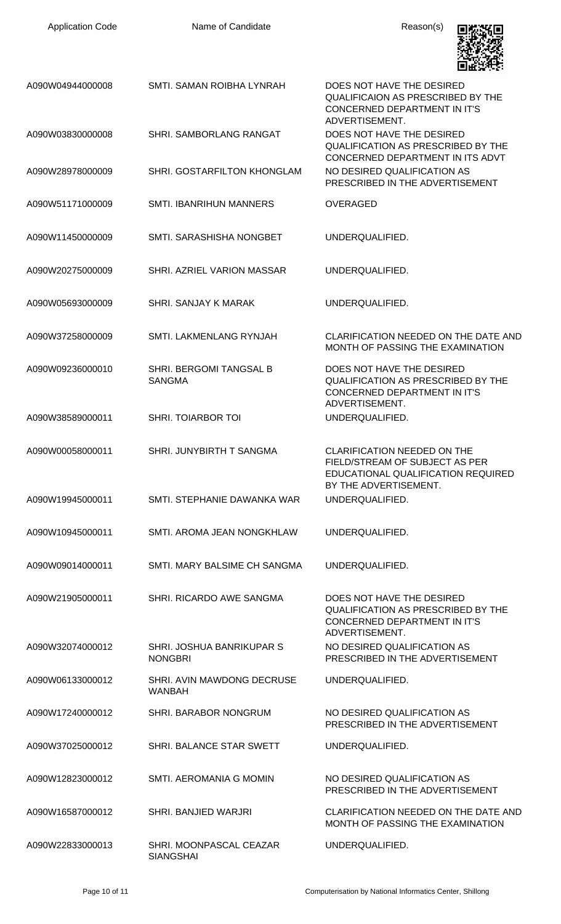| <b>Application Code</b> | Name of Candidate                               | Reason(s)                                                                                                                           |
|-------------------------|-------------------------------------------------|-------------------------------------------------------------------------------------------------------------------------------------|
| A090W04944000008        | SMTI. SAMAN ROIBHA LYNRAH                       | DOES NOT HAVE THE DESIRED<br><b>QUALIFICAION AS PRESCRIBED BY THE</b><br>CONCERNED DEPARTMENT IN IT'S<br>ADVERTISEMENT.             |
| A090W03830000008        | <b>SHRI. SAMBORLANG RANGAT</b>                  | DOES NOT HAVE THE DESIRED<br><b>QUALIFICATION AS PRESCRIBED BY THE</b><br>CONCERNED DEPARTMENT IN ITS ADVT                          |
| A090W28978000009        | SHRI. GOSTARFILTON KHONGLAM                     | NO DESIRED QUALIFICATION AS<br>PRESCRIBED IN THE ADVERTISEMENT                                                                      |
| A090W51171000009        | <b>SMTI. IBANRIHUN MANNERS</b>                  | <b>OVERAGED</b>                                                                                                                     |
| A090W11450000009        | SMTI, SARASHISHA NONGBET                        | UNDERQUALIFIED.                                                                                                                     |
| A090W20275000009        | SHRI. AZRIEL VARION MASSAR                      | UNDERQUALIFIED.                                                                                                                     |
| A090W05693000009        | <b>SHRI, SANJAY K MARAK</b>                     | UNDERQUALIFIED.                                                                                                                     |
| A090W37258000009        | SMTI. LAKMENLANG RYNJAH                         | CLARIFICATION NEEDED ON THE DATE AND<br>MONTH OF PASSING THE EXAMINATION                                                            |
| A090W09236000010        | <b>SHRI. BERGOMI TANGSAL B</b><br><b>SANGMA</b> | DOES NOT HAVE THE DESIRED<br><b>QUALIFICATION AS PRESCRIBED BY THE</b><br>CONCERNED DEPARTMENT IN IT'S<br>ADVERTISEMENT.            |
| A090W38589000011        | <b>SHRI. TOIARBOR TOI</b>                       | UNDERQUALIFIED.                                                                                                                     |
| A090W00058000011        | SHRI. JUNYBIRTH T SANGMA                        | <b>CLARIFICATION NEEDED ON THE</b><br>FIELD/STREAM OF SUBJECT AS PER<br>EDUCATIONAL QUALIFICATION REQUIRED<br>BY THE ADVERTISEMENT. |
| A090W19945000011        | SMTI, STEPHANIE DAWANKA WAR                     | UNDERQUALIFIED.                                                                                                                     |
| A090W10945000011        | SMTI. AROMA JEAN NONGKHLAW                      | UNDERQUALIFIED.                                                                                                                     |
| A090W09014000011        | SMTI, MARY BALSIME CH SANGMA                    | UNDERQUALIFIED.                                                                                                                     |
| A090W21905000011        | SHRI, RICARDO AWE SANGMA                        | DOES NOT HAVE THE DESIRED<br><b>QUALIFICATION AS PRESCRIBED BY THE</b><br><b>CONCERNED DEPARTMENT IN IT'S</b><br>ADVERTISEMENT.     |
| A090W32074000012        | SHRI. JOSHUA BANRIKUPAR S<br><b>NONGBRI</b>     | NO DESIRED QUALIFICATION AS<br>PRESCRIBED IN THE ADVERTISEMENT                                                                      |
| A090W06133000012        | SHRI. AVIN MAWDONG DECRUSE<br><b>WANBAH</b>     | UNDERQUALIFIED.                                                                                                                     |
| A090W17240000012        | SHRI. BARABOR NONGRUM                           | NO DESIRED QUALIFICATION AS<br>PRESCRIBED IN THE ADVERTISEMENT                                                                      |
| A090W37025000012        | SHRI. BALANCE STAR SWETT                        | UNDERQUALIFIED.                                                                                                                     |
| A090W12823000012        | SMTI. AEROMANIA G MOMIN                         | NO DESIRED OUALIFICATION AS<br>PRESCRIBED IN THE ADVERTISEMENT                                                                      |
| A090W16587000012        | SHRI. BANJIED WARJRI                            | CLARIFICATION NEEDED ON THE DATE AND<br>MONTH OF PASSING THE EXAMINATION                                                            |
| A090W22833000013        | SHRI. MOONPASCAL CEAZAR<br><b>SIANGSHAI</b>     | UNDERQUALIFIED.                                                                                                                     |